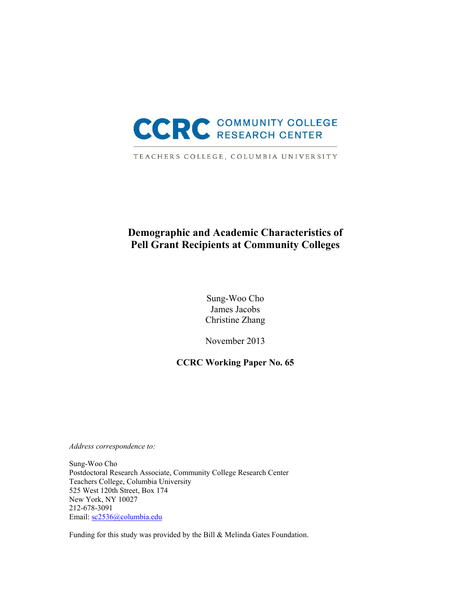

TEACHERS COLLEGE, COLUMBIA UNIVERSITY

# **Demographic and Academic Characteristics of Pell Grant Recipients at Community Colleges**

Sung-Woo Cho James Jacobs Christine Zhang

November 2013

## **CCRC Working Paper No. 65**

*Address correspondence to:* 

Sung-Woo Cho Postdoctoral Research Associate, Community College Research Center Teachers College, Columbia University 525 West 120th Street, Box 174 New York, NY 10027 212-678-3091 Email: sc2536@columbia.edu

Funding for this study was provided by the Bill & Melinda Gates Foundation.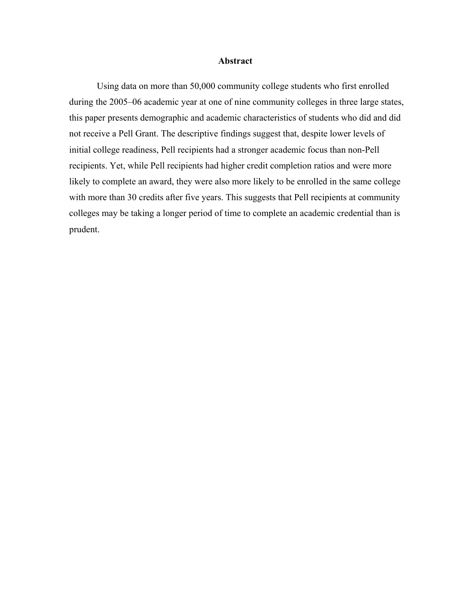#### **Abstract**

Using data on more than 50,000 community college students who first enrolled during the 2005–06 academic year at one of nine community colleges in three large states, this paper presents demographic and academic characteristics of students who did and did not receive a Pell Grant. The descriptive findings suggest that, despite lower levels of initial college readiness, Pell recipients had a stronger academic focus than non-Pell recipients. Yet, while Pell recipients had higher credit completion ratios and were more likely to complete an award, they were also more likely to be enrolled in the same college with more than 30 credits after five years. This suggests that Pell recipients at community colleges may be taking a longer period of time to complete an academic credential than is prudent.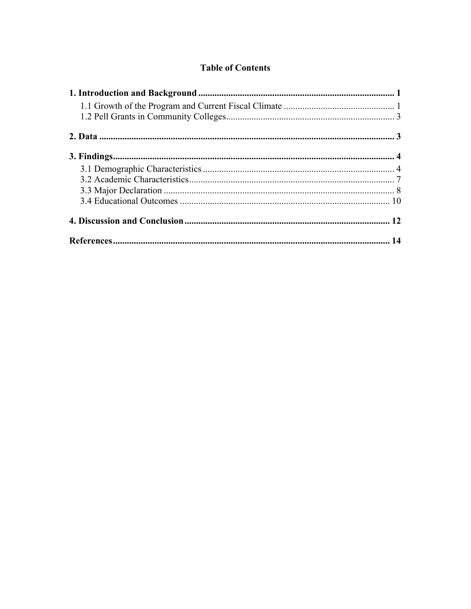## **Table of Contents**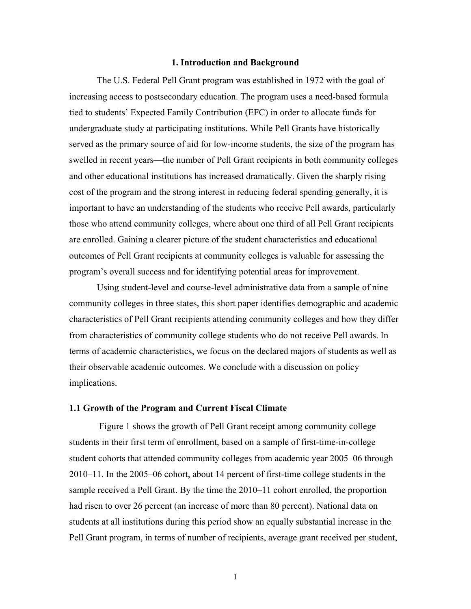### **1. Introduction and Background**

The U.S. Federal Pell Grant program was established in 1972 with the goal of increasing access to postsecondary education. The program uses a need-based formula tied to students' Expected Family Contribution (EFC) in order to allocate funds for undergraduate study at participating institutions. While Pell Grants have historically served as the primary source of aid for low-income students, the size of the program has swelled in recent years—the number of Pell Grant recipients in both community colleges and other educational institutions has increased dramatically. Given the sharply rising cost of the program and the strong interest in reducing federal spending generally, it is important to have an understanding of the students who receive Pell awards, particularly those who attend community colleges, where about one third of all Pell Grant recipients are enrolled. Gaining a clearer picture of the student characteristics and educational outcomes of Pell Grant recipients at community colleges is valuable for assessing the program's overall success and for identifying potential areas for improvement.

Using student-level and course-level administrative data from a sample of nine community colleges in three states, this short paper identifies demographic and academic characteristics of Pell Grant recipients attending community colleges and how they differ from characteristics of community college students who do not receive Pell awards. In terms of academic characteristics, we focus on the declared majors of students as well as their observable academic outcomes. We conclude with a discussion on policy implications.

#### **1.1 Growth of the Program and Current Fiscal Climate**

 Figure 1 shows the growth of Pell Grant receipt among community college students in their first term of enrollment, based on a sample of first-time-in-college student cohorts that attended community colleges from academic year 2005–06 through 2010–11. In the 2005–06 cohort, about 14 percent of first-time college students in the sample received a Pell Grant. By the time the 2010–11 cohort enrolled, the proportion had risen to over 26 percent (an increase of more than 80 percent). National data on students at all institutions during this period show an equally substantial increase in the Pell Grant program, in terms of number of recipients, average grant received per student,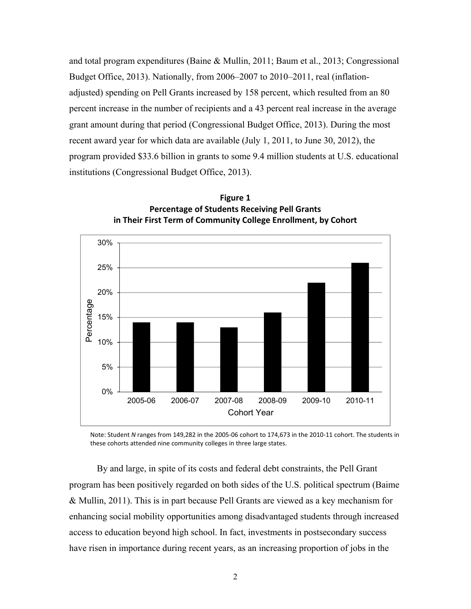and total program expenditures (Baine & Mullin, 2011; Baum et al., 2013; Congressional Budget Office, 2013). Nationally, from 2006–2007 to 2010–2011, real (inflationadjusted) spending on Pell Grants increased by 158 percent, which resulted from an 80 percent increase in the number of recipients and a 43 percent real increase in the average grant amount during that period (Congressional Budget Office, 2013). During the most recent award year for which data are available (July 1, 2011, to June 30, 2012), the program provided \$33.6 billion in grants to some 9.4 million students at U.S. educational institutions (Congressional Budget Office, 2013).



**Figure 1 Percentage of Students Receiving Pell Grants in Their First Term of Community College Enrollment, by Cohort**

Note: Student *N* ranges from 149,282 in the 2005‐06 cohort to 174,673 in the 2010‐11 cohort. The students in these cohorts attended nine community colleges in three large states.

By and large, in spite of its costs and federal debt constraints, the Pell Grant program has been positively regarded on both sides of the U.S. political spectrum (Baime & Mullin, 2011). This is in part because Pell Grants are viewed as a key mechanism for enhancing social mobility opportunities among disadvantaged students through increased access to education beyond high school. In fact, investments in postsecondary success have risen in importance during recent years, as an increasing proportion of jobs in the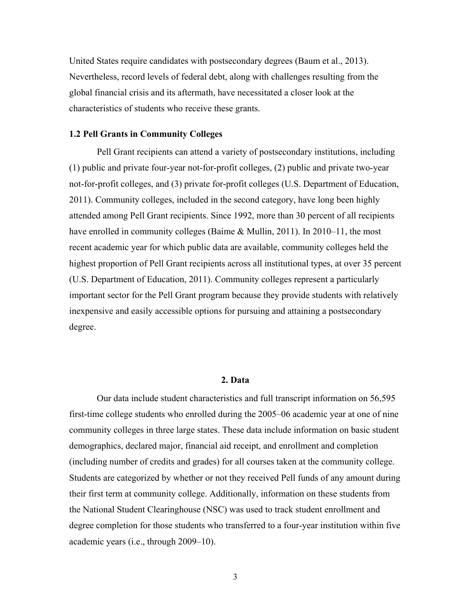United States require candidates with postsecondary degrees (Baum et al., 2013). Nevertheless, record levels of federal debt, along with challenges resulting from the global financial crisis and its aftermath, have necessitated a closer look at the characteristics of students who receive these grants.

#### **1.2 Pell Grants in Community Colleges**

Pell Grant recipients can attend a variety of postsecondary institutions, including (1) public and private four-year not-for-profit colleges, (2) public and private two-year not-for-profit colleges, and (3) private for-profit colleges (U.S. Department of Education, 2011). Community colleges, included in the second category, have long been highly attended among Pell Grant recipients. Since 1992, more than 30 percent of all recipients have enrolled in community colleges (Baime & Mullin, 2011). In 2010–11, the most recent academic year for which public data are available, community colleges held the highest proportion of Pell Grant recipients across all institutional types, at over 35 percent (U.S. Department of Education, 2011). Community colleges represent a particularly important sector for the Pell Grant program because they provide students with relatively inexpensive and easily accessible options for pursuing and attaining a postsecondary degree.

## **2. Data**

Our data include student characteristics and full transcript information on 56,595 first-time college students who enrolled during the 2005–06 academic year at one of nine community colleges in three large states. These data include information on basic student demographics, declared major, financial aid receipt, and enrollment and completion (including number of credits and grades) for all courses taken at the community college. Students are categorized by whether or not they received Pell funds of any amount during their first term at community college. Additionally, information on these students from the National Student Clearinghouse (NSC) was used to track student enrollment and degree completion for those students who transferred to a four-year institution within five academic years (i.e., through 2009–10).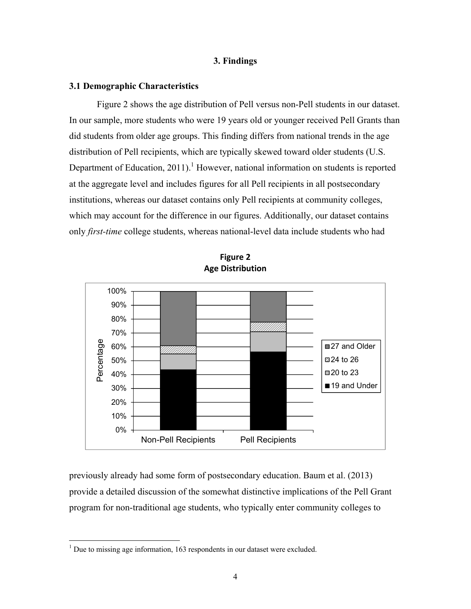#### **3. Findings**

#### **3.1 Demographic Characteristics**

Figure 2 shows the age distribution of Pell versus non-Pell students in our dataset. In our sample, more students who were 19 years old or younger received Pell Grants than did students from older age groups. This finding differs from national trends in the age distribution of Pell recipients, which are typically skewed toward older students (U.S. Department of Education, 2011).<sup>1</sup> However, national information on students is reported at the aggregate level and includes figures for all Pell recipients in all postsecondary institutions, whereas our dataset contains only Pell recipients at community colleges, which may account for the difference in our figures. Additionally, our dataset contains only *first-time* college students, whereas national-level data include students who had





previously already had some form of postsecondary education. Baum et al. (2013) provide a detailed discussion of the somewhat distinctive implications of the Pell Grant program for non-traditional age students, who typically enter community colleges to

<sup>&</sup>lt;sup>1</sup> Due to missing age information, 163 respondents in our dataset were excluded.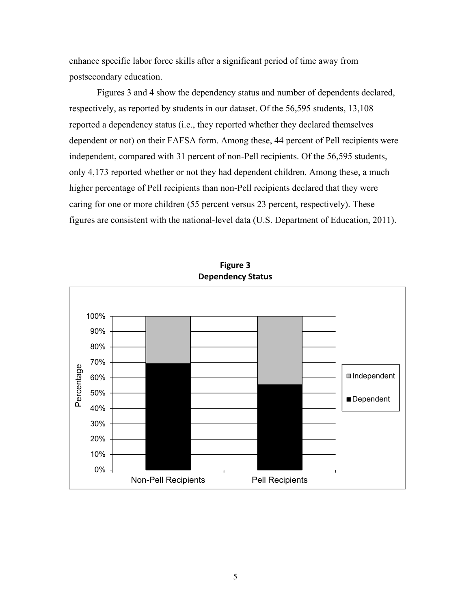enhance specific labor force skills after a significant period of time away from postsecondary education.

Figures 3 and 4 show the dependency status and number of dependents declared, respectively, as reported by students in our dataset. Of the 56,595 students, 13,108 reported a dependency status (i.e., they reported whether they declared themselves dependent or not) on their FAFSA form. Among these, 44 percent of Pell recipients were independent, compared with 31 percent of non-Pell recipients. Of the 56,595 students, only 4,173 reported whether or not they had dependent children. Among these, a much higher percentage of Pell recipients than non-Pell recipients declared that they were caring for one or more children (55 percent versus 23 percent, respectively). These figures are consistent with the national-level data (U.S. Department of Education, 2011).



**Figure 3 Dependency Status**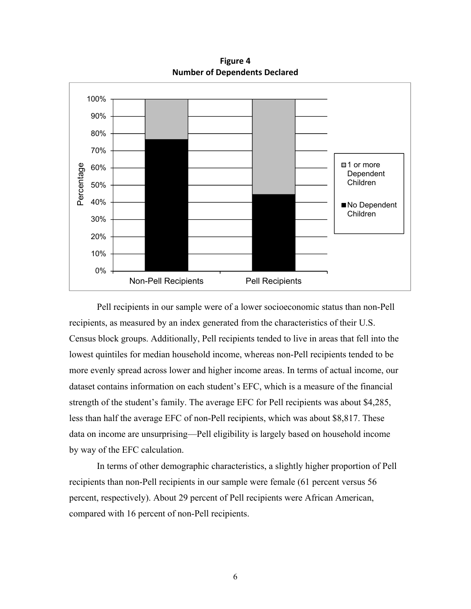**Figure 4 Number of Dependents Declared**



Pell recipients in our sample were of a lower socioeconomic status than non-Pell recipients, as measured by an index generated from the characteristics of their U.S. Census block groups. Additionally, Pell recipients tended to live in areas that fell into the lowest quintiles for median household income, whereas non-Pell recipients tended to be more evenly spread across lower and higher income areas. In terms of actual income, our dataset contains information on each student's EFC, which is a measure of the financial strength of the student's family. The average EFC for Pell recipients was about \$4,285, less than half the average EFC of non-Pell recipients, which was about \$8,817. These data on income are unsurprising—Pell eligibility is largely based on household income by way of the EFC calculation.

In terms of other demographic characteristics, a slightly higher proportion of Pell recipients than non-Pell recipients in our sample were female (61 percent versus 56 percent, respectively). About 29 percent of Pell recipients were African American, compared with 16 percent of non-Pell recipients.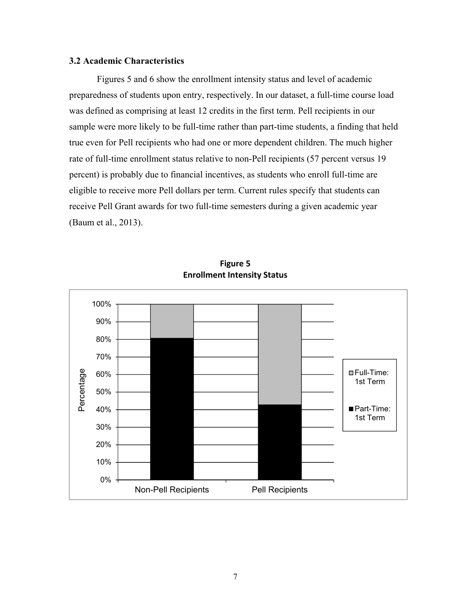## **3.2 Academic Characteristics**

Figures 5 and 6 show the enrollment intensity status and level of academic preparedness of students upon entry, respectively. In our dataset, a full-time course load was defined as comprising at least 12 credits in the first term. Pell recipients in our sample were more likely to be full-time rather than part-time students, a finding that held true even for Pell recipients who had one or more dependent children. The much higher rate of full-time enrollment status relative to non-Pell recipients (57 percent versus 19 percent) is probably due to financial incentives, as students who enroll full-time are eligible to receive more Pell dollars per term. Current rules specify that students can receive Pell Grant awards for two full-time semesters during a given academic year (Baum et al., 2013).



**Figure 5 Enrollment Intensity Status**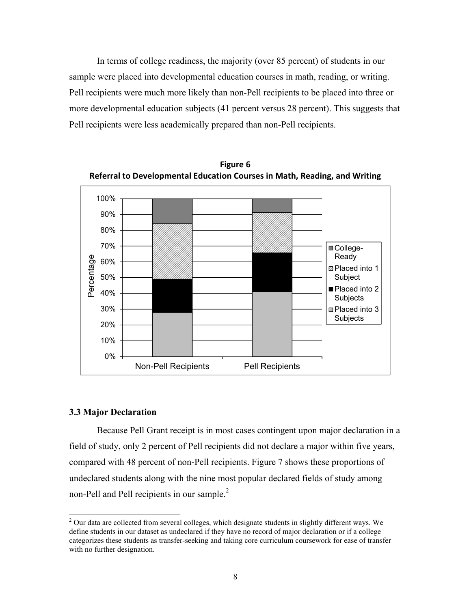In terms of college readiness, the majority (over 85 percent) of students in our sample were placed into developmental education courses in math, reading, or writing. Pell recipients were much more likely than non-Pell recipients to be placed into three or more developmental education subjects (41 percent versus 28 percent). This suggests that Pell recipients were less academically prepared than non-Pell recipients.



**Figure 6 Referral to Developmental Education Courses in Math, Reading, and Writing**

### **3.3 Major Declaration**

Because Pell Grant receipt is in most cases contingent upon major declaration in a field of study, only 2 percent of Pell recipients did not declare a major within five years, compared with 48 percent of non-Pell recipients. Figure 7 shows these proportions of undeclared students along with the nine most popular declared fields of study among non-Pell and Pell recipients in our sample.<sup>2</sup>

 $2$  Our data are collected from several colleges, which designate students in slightly different ways. We define students in our dataset as undeclared if they have no record of major declaration or if a college categorizes these students as transfer-seeking and taking core curriculum coursework for ease of transfer with no further designation.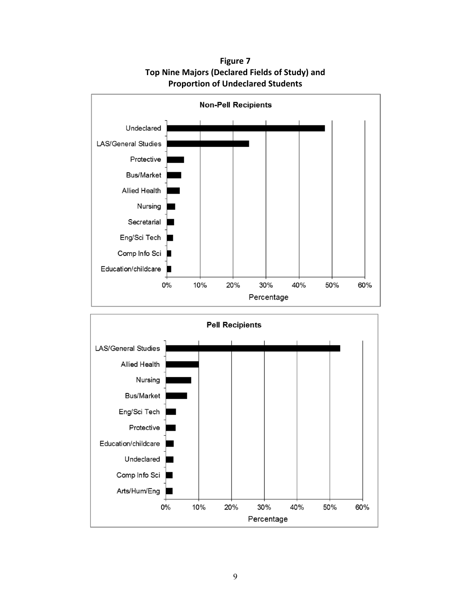



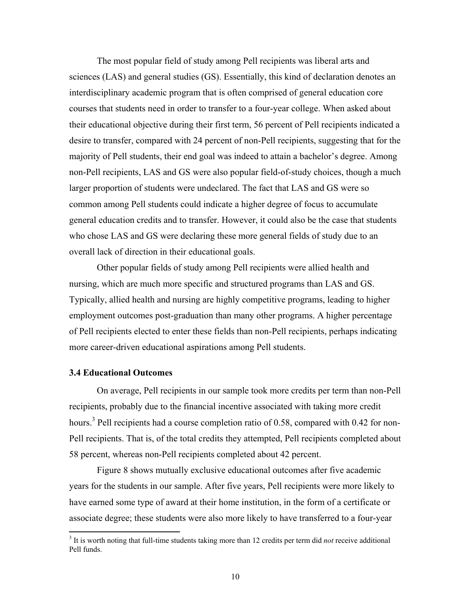The most popular field of study among Pell recipients was liberal arts and sciences (LAS) and general studies (GS). Essentially, this kind of declaration denotes an interdisciplinary academic program that is often comprised of general education core courses that students need in order to transfer to a four-year college. When asked about their educational objective during their first term, 56 percent of Pell recipients indicated a desire to transfer, compared with 24 percent of non-Pell recipients, suggesting that for the majority of Pell students, their end goal was indeed to attain a bachelor's degree. Among non-Pell recipients, LAS and GS were also popular field-of-study choices, though a much larger proportion of students were undeclared. The fact that LAS and GS were so common among Pell students could indicate a higher degree of focus to accumulate general education credits and to transfer. However, it could also be the case that students who chose LAS and GS were declaring these more general fields of study due to an overall lack of direction in their educational goals.

Other popular fields of study among Pell recipients were allied health and nursing, which are much more specific and structured programs than LAS and GS. Typically, allied health and nursing are highly competitive programs, leading to higher employment outcomes post-graduation than many other programs. A higher percentage of Pell recipients elected to enter these fields than non-Pell recipients, perhaps indicating more career-driven educational aspirations among Pell students.

## **3.4 Educational Outcomes**

On average, Pell recipients in our sample took more credits per term than non-Pell recipients, probably due to the financial incentive associated with taking more credit hours.<sup>3</sup> Pell recipients had a course completion ratio of 0.58, compared with 0.42 for non-Pell recipients. That is, of the total credits they attempted, Pell recipients completed about 58 percent, whereas non-Pell recipients completed about 42 percent.

Figure 8 shows mutually exclusive educational outcomes after five academic years for the students in our sample. After five years, Pell recipients were more likely to have earned some type of award at their home institution, in the form of a certificate or associate degree; these students were also more likely to have transferred to a four-year

<sup>&</sup>lt;sup>3</sup> It is worth noting that full-time students taking more than 12 credits per term did *not* receive additional Pell funds.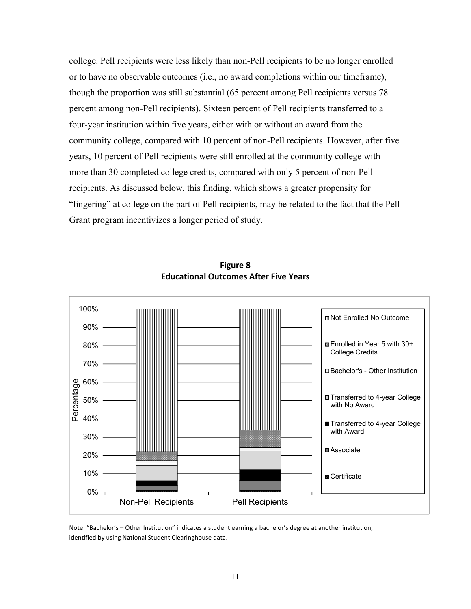college. Pell recipients were less likely than non-Pell recipients to be no longer enrolled or to have no observable outcomes (i.e., no award completions within our timeframe), though the proportion was still substantial (65 percent among Pell recipients versus 78 percent among non-Pell recipients). Sixteen percent of Pell recipients transferred to a four-year institution within five years, either with or without an award from the community college, compared with 10 percent of non-Pell recipients. However, after five years, 10 percent of Pell recipients were still enrolled at the community college with more than 30 completed college credits, compared with only 5 percent of non-Pell recipients. As discussed below, this finding, which shows a greater propensity for "lingering" at college on the part of Pell recipients, may be related to the fact that the Pell Grant program incentivizes a longer period of study.



**Figure 8 Educational Outcomes After Five Years**

Note: "Bachelor's – Other Institution" indicates a student earning a bachelor's degree at another institution, identified by using National Student Clearinghouse data.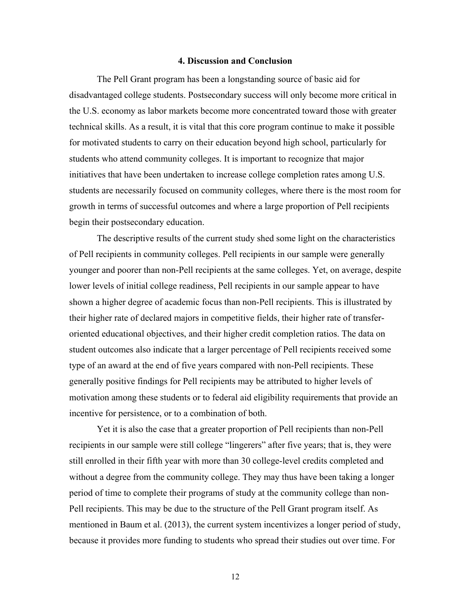#### **4. Discussion and Conclusion**

The Pell Grant program has been a longstanding source of basic aid for disadvantaged college students. Postsecondary success will only become more critical in the U.S. economy as labor markets become more concentrated toward those with greater technical skills. As a result, it is vital that this core program continue to make it possible for motivated students to carry on their education beyond high school, particularly for students who attend community colleges. It is important to recognize that major initiatives that have been undertaken to increase college completion rates among U.S. students are necessarily focused on community colleges, where there is the most room for growth in terms of successful outcomes and where a large proportion of Pell recipients begin their postsecondary education.

The descriptive results of the current study shed some light on the characteristics of Pell recipients in community colleges. Pell recipients in our sample were generally younger and poorer than non-Pell recipients at the same colleges. Yet, on average, despite lower levels of initial college readiness, Pell recipients in our sample appear to have shown a higher degree of academic focus than non-Pell recipients. This is illustrated by their higher rate of declared majors in competitive fields, their higher rate of transferoriented educational objectives, and their higher credit completion ratios. The data on student outcomes also indicate that a larger percentage of Pell recipients received some type of an award at the end of five years compared with non-Pell recipients. These generally positive findings for Pell recipients may be attributed to higher levels of motivation among these students or to federal aid eligibility requirements that provide an incentive for persistence, or to a combination of both.

Yet it is also the case that a greater proportion of Pell recipients than non-Pell recipients in our sample were still college "lingerers" after five years; that is, they were still enrolled in their fifth year with more than 30 college-level credits completed and without a degree from the community college. They may thus have been taking a longer period of time to complete their programs of study at the community college than non-Pell recipients. This may be due to the structure of the Pell Grant program itself. As mentioned in Baum et al. (2013), the current system incentivizes a longer period of study, because it provides more funding to students who spread their studies out over time. For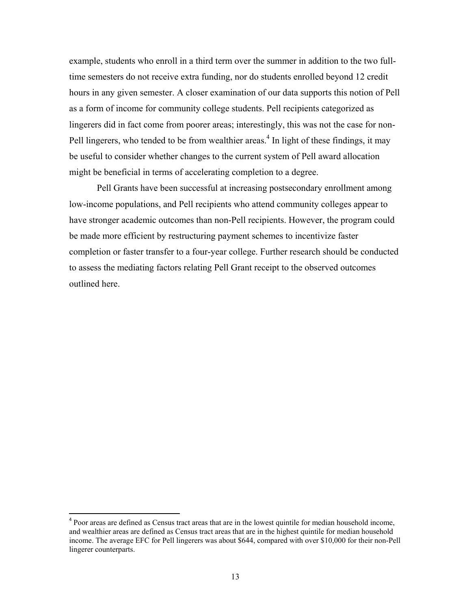example, students who enroll in a third term over the summer in addition to the two fulltime semesters do not receive extra funding, nor do students enrolled beyond 12 credit hours in any given semester. A closer examination of our data supports this notion of Pell as a form of income for community college students. Pell recipients categorized as lingerers did in fact come from poorer areas; interestingly, this was not the case for non-Pell lingerers, who tended to be from wealthier areas.<sup>4</sup> In light of these findings, it may be useful to consider whether changes to the current system of Pell award allocation might be beneficial in terms of accelerating completion to a degree.

Pell Grants have been successful at increasing postsecondary enrollment among low-income populations, and Pell recipients who attend community colleges appear to have stronger academic outcomes than non-Pell recipients. However, the program could be made more efficient by restructuring payment schemes to incentivize faster completion or faster transfer to a four-year college. Further research should be conducted to assess the mediating factors relating Pell Grant receipt to the observed outcomes outlined here.

<sup>&</sup>lt;sup>4</sup> Poor areas are defined as Census tract areas that are in the lowest quintile for median household income, and wealthier areas are defined as Census tract areas that are in the highest quintile for median household income. The average EFC for Pell lingerers was about \$644, compared with over \$10,000 for their non-Pell lingerer counterparts.